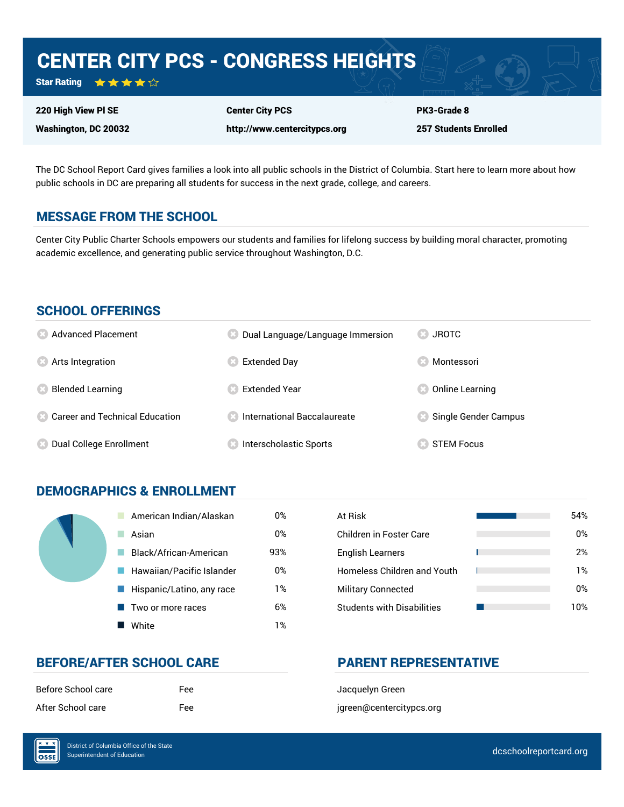## CENTER CITY PCS - CONGRESS HEIGHTS

Star Rating ★★★★☆

220 High View Pl SE

Washington, DC 20032

Center City PCS

http://www.centercitypcs.org

257 Students Enrolled

PK3-Grade 8

The DC School Report Card gives families a look into all public schools in the District of Columbia. Start here to learn more about how public schools in DC are preparing all students for success in the next grade, college, and careers.

#### MESSAGE FROM THE SCHOOL

Center City Public Charter Schools empowers our students and families for lifelong success by building moral character, promoting academic excellence, and generating public service throughout Washington, D.C.

#### SCHOOL OFFERINGS

| <b>8</b> Advanced Placement             | Dual Language/Language Immersion | <b>JROTC</b><br>OR 3 |
|-----------------------------------------|----------------------------------|----------------------|
| <b>8</b> Arts Integration               | Extended Day                     | Montessori           |
| <b>Blended Learning</b>                 | <b>Extended Year</b>             | Online Learning      |
| <b>8 Career and Technical Education</b> | International Baccalaureate      | Single Gender Campus |
| Dual College Enrollment                 | Interscholastic Sports           | <b>STEM Focus</b>    |

#### DEMOGRAPHICS & ENROLLMENT

| American Indian/Alaskan   | 0%  | At Risk                            |
|---------------------------|-----|------------------------------------|
| Asian                     | 0%  | Children in Foster Care            |
| Black/African-American    | 93% | <b>English Learners</b>            |
| Hawaiian/Pacific Islander | 0%  | <b>Homeless Children and Youth</b> |
| Hispanic/Latino, any race | 1%  | <b>Military Connected</b>          |
| Two or more races         | 6%  | <b>Students with Disabilities</b>  |
| White                     | 1%  |                                    |

| At Risk                            | 54% |
|------------------------------------|-----|
| Children in Foster Care            | 0%  |
| <b>English Learners</b>            | 2%  |
| <b>Homeless Children and Youth</b> | 1%  |
| <b>Military Connected</b>          | 0%  |
| <b>Students with Disabilities</b>  | 1በ% |

#### BEFORE/AFTER SCHOOL CARE **PARENT REPRESENTATIVE**

| Before School care | Fee |
|--------------------|-----|
| After School care  | Fee |

Jacquelyn Green jgreen@centercitypcs.org

 $\overline{\text{OSE}}$